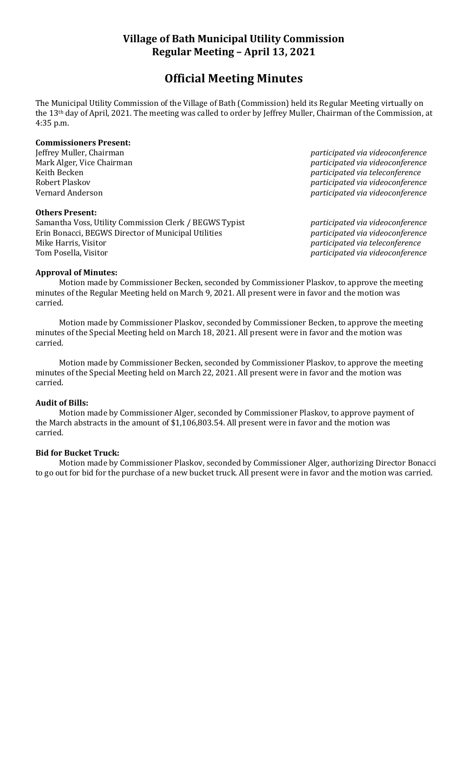# **Village of Bath Municipal Utility Commission Regular Meeting – April 13, 2021**

# **Official Meeting Minutes**

The Municipal Utility Commission of the Village of Bath (Commission) held its Regular Meeting virtually on the 13th day of April, 2021. The meeting was called to order by Jeffrey Muller, Chairman of the Commission, at 4:35 p.m.

# **Commissioners Present:**

### **Others Present:**

Samantha Voss, Utility Commission Clerk / BEGWS Typist *participated via videoconference* Erin Bonacci, BEGWS Director of Municipal Utilities *participated via videoconference* Mike Harris, Visitor *participated via teleconference* Tom Posella, Visitor *participated via videoconference*

Jeffrey Muller, Chairman *participated via videoconference* Mark Alger, Vice Chairman *participated via videoconference* Keith Becken *participated via teleconference* Robert Plaskov *participated via videoconference* Vernard Anderson *participated via videoconference*

# **Approval of Minutes:**

Motion made by Commissioner Becken, seconded by Commissioner Plaskov, to approve the meeting minutes of the Regular Meeting held on March 9, 2021. All present were in favor and the motion was carried.

Motion made by Commissioner Plaskov, seconded by Commissioner Becken, to approve the meeting minutes of the Special Meeting held on March 18, 2021. All present were in favor and the motion was carried.

Motion made by Commissioner Becken, seconded by Commissioner Plaskov, to approve the meeting minutes of the Special Meeting held on March 22, 2021. All present were in favor and the motion was carried.

### **Audit of Bills:**

Motion made by Commissioner Alger, seconded by Commissioner Plaskov, to approve payment of the March abstracts in the amount of \$1,106,803.54. All present were in favor and the motion was carried.

### **Bid for Bucket Truck:**

Motion made by Commissioner Plaskov, seconded by Commissioner Alger, authorizing Director Bonacci to go out for bid for the purchase of a new bucket truck. All present were in favor and the motion was carried.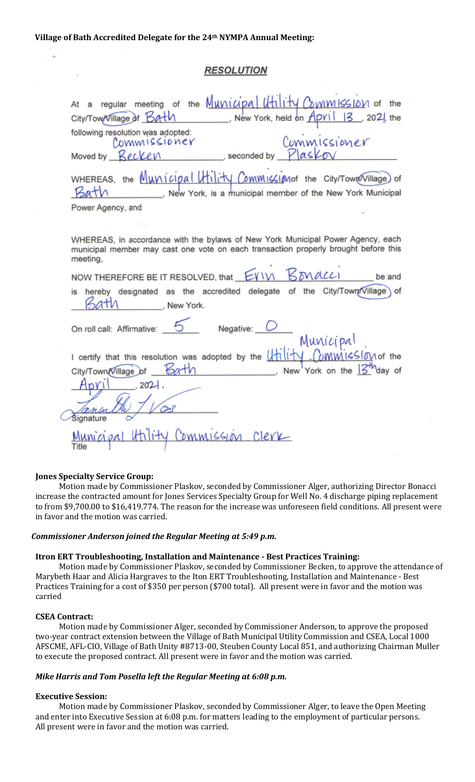# **RESOLUTION**

| At a regular meeting of the Municipal Utility Commission of the                                                                                                                    |
|------------------------------------------------------------------------------------------------------------------------------------------------------------------------------------|
| New York, held on April 13, 2021, the<br>City/Tow/Village of Bath                                                                                                                  |
| following resolution was adopted:<br>Commissioner<br>Commissioner                                                                                                                  |
| Moved by Recken seconded by Plaskov                                                                                                                                                |
| WHEREAS, the Municipal Utility Commission the City/Town (Village) of<br>New York, is a municipal member of the New York Municipal                                                  |
| Power Agency, and                                                                                                                                                                  |
|                                                                                                                                                                                    |
| WHEREAS, in accordance with the bylaws of New York Municipal Power Agency, each<br>municipal member may cast one vote on each transaction properly brought before this<br>meeting, |
| NOW THEREFORE BE IT RESOLVED, that EVIN BONACCI<br>be and                                                                                                                          |
| is hereby designated as the accredited delegate of the City/Town/Village of<br>, New York.                                                                                         |
| On roll call: Affirmative:<br>Negative:<br>Municipal                                                                                                                               |
| I certify that this resolution was adopted by the <i>Hility Commission</i> of the                                                                                                  |
| Bath<br>New York on the $3^m$ day of<br>City/Town/Village_of _                                                                                                                     |
| <b>Inri</b><br>, 202.                                                                                                                                                              |
| <b>Signature</b>                                                                                                                                                                   |
| Utility Commission Clerk<br>Title                                                                                                                                                  |

### **Jones Specialty Service Group:**

Motion made by Commissioner Plaskov, seconded by Commissioner Alger, authorizing Director Bonacci increase the contracted amount for Jones Services Specialty Group for Well No. 4 discharge piping replacement to from \$9,700.00 to \$16,419.774. The reason for the increase was unforeseen field conditions. All present were in favor and the motion was carried.

#### *Commissioner Anderson joined the Regular Meeting at 5:49 p.m.*

#### **Itron ERT Troubleshooting, Installation and Maintenance - Best Practices Training:**

Motion made by Commissioner Plaskov, seconded by Commissioner Becken, to approve the attendance of Marybeth Haar and Alicia Hargraves to the Iton ERT Troubleshooting, Installation and Maintenance - Best Practices Training for a cost of \$350 per person (\$700 total). All present were in favor and the motion was carried

#### **CSEA Contract:**

Motion made by Commissioner Alger, seconded by Commissioner Anderson, to approve the proposed two-year contract extension between the Village of Bath Municipal Utility Commission and CSEA, Local 1000 AFSCME, AFL-CIO, Village of Bath Unity #8713-00, Steuben County Local 851, and authorizing Chairman Muller to execute the proposed contract. All present were in favor and the motion was carried.

#### *Mike Harris and Tom Posella left the Regular Meeting at 6:08 p.m.*

#### **Executive Session:**

Motion made by Commissioner Plaskov, seconded by Commissioner Alger, to leave the Open Meeting and enter into Executive Session at 6:08 p.m. for matters leading to the employment of particular persons. All present were in favor and the motion was carried.